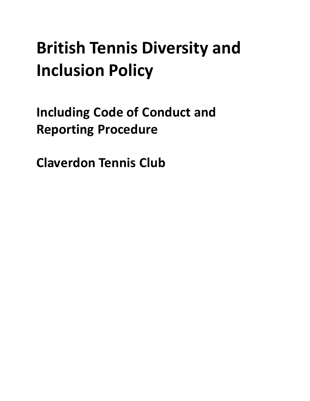# **British Tennis Diversity and Inclusion Policy**

<span id="page-0-0"></span>**Including Code of Conduct and Reporting Procedure**

**Claverdon Tennis Club**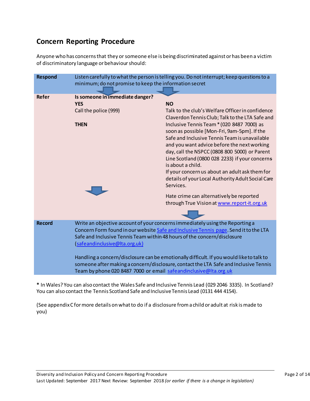# **Concern Reporting Procedure**

Anyone who has concerns that they or someone else is being discriminated against or has been a victim of discriminatory language or behaviour should:

| <b>Respond</b> | Listen carefully to what the person is telling you. Do not interrupt; keep questions to a<br>minimum; do not promise to keep the information secret                                                                                                                                                                                                                                                                                                                                                                                        |                                                                                                                                                                                                                                                                                                                                                                                                                                                                                                                                                                                                                                                      |
|----------------|--------------------------------------------------------------------------------------------------------------------------------------------------------------------------------------------------------------------------------------------------------------------------------------------------------------------------------------------------------------------------------------------------------------------------------------------------------------------------------------------------------------------------------------------|------------------------------------------------------------------------------------------------------------------------------------------------------------------------------------------------------------------------------------------------------------------------------------------------------------------------------------------------------------------------------------------------------------------------------------------------------------------------------------------------------------------------------------------------------------------------------------------------------------------------------------------------------|
| <b>Refer</b>   | Is someone in immediate danger?<br><b>YES</b><br>Call the police (999)<br><b>THEN</b>                                                                                                                                                                                                                                                                                                                                                                                                                                                      | <b>NO</b><br>Talk to the club's Welfare Officer in confidence<br>Claverdon Tennis Club; Talk to the LTA Safe and<br>Inclusive Tennis Team * (020 8487 7000) as<br>soon as possible [Mon-Fri, 9am-5pm]. If the<br>Safe and Inclusive Tennis Team is unavailable<br>and you want advice before the next working<br>day, call the NSPCC (0808 800 5000) or Parent<br>Line Scotland (0800 028 2233) if your concerns<br>is about a child.<br>If your concern us about an adult ask them for<br>details of your Local Authority Adult Social Care<br>Services.<br>Hate crime can alternatively be reported<br>through True Vision at www.report-it.org.uk |
| <b>Record</b>  | Write an objective account of your concerns immediately using the Reporting a<br>Concern Form found in our website Safe and Inclusive Tennis page. Send it to the LTA<br>Safe and Inclusive Tennis Team within 48 hours of the concern/disclosure<br>(safeandinclusive@Ita.org.uk)<br>Handling a concern/disclosure can be emotionally difficult. If you would like to talk to<br>someone after making a concern/disclosure, contact the LTA Safe and Inclusive Tennis<br>Team by phone 020 8487 7000 or email safeandinclusive@Ita.org.uk |                                                                                                                                                                                                                                                                                                                                                                                                                                                                                                                                                                                                                                                      |

**\*** In Wales? You can also contact the Wales Safe and Inclusive Tennis Lead (029 2046 3335). In Scotland? You can also contact the Tennis Scotland Safe and Inclusive Tennis Lead (0131 444 4154).

(See appendix C for more details on what to do if a disclosure from a child or adult at risk is made to you)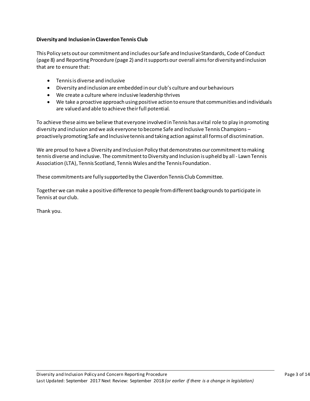#### **Diversity and Inclusion in Claverdon Tennis Club**

This Policy sets out our commitment and includes our Safe and Inclusive Standards, Code of Conduct (page 8) and Reporting Procedure (page 2) and it supports our overall aims for diversity and inclusion that are to ensure that:

- Tennis is diverse and inclusive
- Diversity and inclusion are embedded in our club's culture and our behaviours
- We create a culture where inclusive leadership thrives
- We take a proactive approach using positive action to ensure that communities and individuals are valued and able to achieve their full potential.

To achieve these aims we believe that everyone involved in Tennis has a vital role to play in promoting diversity and inclusion and we ask everyone to become Safe and Inclusive Tennis Champions – proactively promoting Safe and Inclusive tennis and taking action against all forms of discrimination.

We are proud to have a Diversity and Inclusion Policy that demonstrates our commitment to making tennis diverse and inclusive. The commitment to Diversity and Inclusion is upheld by all - Lawn Tennis Association (LTA), Tennis Scotland, Tennis Wales and the Tennis Foundation.

These commitments are fully supported by the Claverdon Tennis Club Committee.

Together we can make a positive difference to people from different backgrounds to participate in Tennis at our club.

Thank you.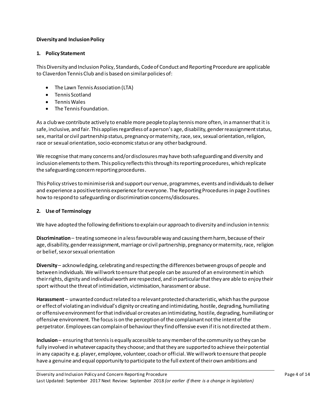## **Diversity and Inclusion Policy**

#### **1. Policy Statement**

This Diversity and Inclusion Policy, Standards, Code of Conduct and Reporting Procedure are applicable to Claverdon Tennis Club and is based on similar policies of:

- The Lawn Tennis Association (LTA)
- Tennis Scotland
- Tennis Wales
- The Tennis Foundation.

As a club we contribute actively to enable more people to play tennis more often, in a manner that it is safe, inclusive, and fair. This applies regardless of a person's age, disability, gender reassignment status, sex, marital or civil partnership status, pregnancy or maternity, race, sex, sexual orientation, religion, race or sexual orientation, socio-economic status or any other background.

We recognise that many concerns and/or disclosures may have both safeguarding and diversity and inclusion elements to them. This policy reflects this through its reporting procedures, which replicate the safeguarding concern reporting procedures.

This Policy strivesto minimise risk and support our venue, programmes, events and individuals to deliver and experience a positive tennis experience for everyone. The Reporting Procedures in page 2outlines how to respond to safeguarding or discrimination concerns/disclosures.

#### **2. Use of Terminology**

We have adopted the following definitions to explain our approach to diversity and inclusion in tennis:

**Discrimination**– treating someone in a less favourable way and causing them harm, because of their age, disability, gender reassignment, marriage or civil partnership, pregnancy or maternity, race, religion or belief, sex or sexual orientation

**Diversity** – acknowledging, celebrating and respecting the differences between groups of people and between individuals. We will work to ensure that people can be assured of an environment in which their rights, dignity and individual worth are respected, and in particular that they are able to enjoy their sport without the threat of intimidation, victimisation, harassment or abuse.

**Harassment** – unwanted conduct related to a relevant protected characteristic, which has the purpose or effect of violating an individual's dignity or creating and intimidating, hostile, degrading, humiliating or offensive environment for that individual or creates an intimidating, hostile, degrading, humiliating or offensive environment. The focus is on the perception of the complainant not the intent of the perpetrator. Employees can complain of behaviour they find offensive even if it is not directed at them.

**Inclusion** – ensuring that tennis is equally accessible to any member of the community so they can be fully involved in whatever capacity they choose; and that they are supported to achieve their potential in any capacity e.g. player, employee, volunteer, coach or official. We will work to ensure that people have a genuine and equal opportunity to participate to the full extent of their own ambitions and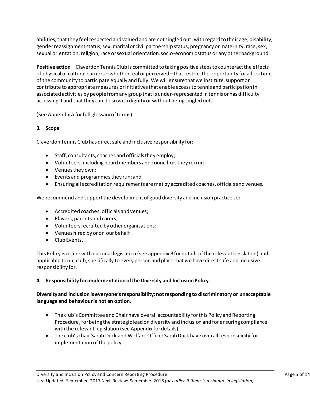abilities, that they feel respected and valued and are not singled out, with regard to their age, disability, gender reassignment status, sex, marital or civil partnership status, pregnancy or maternity, race, sex, sexual orientation, religion, race or sexual orientation, socio-economic status or any other background.

**Positive action** – Claverdon Tennis Club is committed to taking positive steps to counteract the effects of physical or cultural barriers – whether real or perceived –that restrict the opportunity for all sections of the community to participate equally and fully. We will ensure that we institute, support or contribute to appropriate measures or initiatives that enable access to tennis and participation in associated activities by people from any group that is under-represented in tennis or has difficulty accessing it and that they can do so with dignity or without being singled out.

(See Appendix A for full glossary of terms)

# **3. Scope**

Claverdon Tennis Club has direct safe and inclusive responsibility for:

- Staff, consultants, coaches and officials they employ;
- Volunteers, including board members and councillors they recruit;
- Venues they own;
- Events and programmes they run; and
- Ensuring all accreditation requirements are met by accredited coaches, officials and venues.

We recommend and support the development of good diversity and inclusion practice to:

- Accredited coaches, officials and venues;
- Players, parents and carers;
- Volunteers recruited by other organisations;
- Venues hired by or on our behalf
- Club Events.

This Policy isin line with national legislation (see appendix Bfor details of the relevant legislation) and applicable to our club, specifically to every person and place that we have direct safe and inclusive responsibility for.

# **4. Responsibility for implementation of the Diversity and Inclusion Policy**

## **Diversity and inclusion is everyone's responsibility: not responding to discriminatory or unacceptable language and behaviour is not an option.**

- The club's Committee and Chair have overall accountability for this Policy and Reporting Procedure, for being the strategic lead on diversity and inclusion and for ensuring compliance with the relevant legislation (see Appendix for details).
- The club's chair Sarah Duck and Welfare Officer Sarah Duck have overall responsibility for implementation of the policy.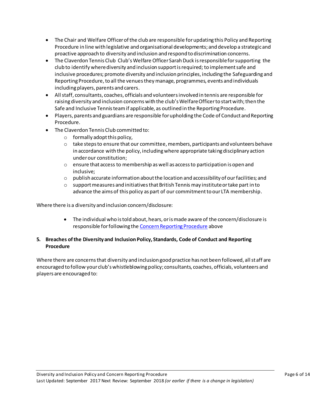- The Chair and Welfare Officer of the club are responsible for updating this Policy and Reporting Procedure in line with legislative and organisational developments; and develop a strategic and proactive approach to diversity and inclusion and respond to discrimination concerns.
- The Claverdon Tennis Club Club's Welfare Officer Sarah Duck is responsible for supporting the club to identify where diversity and inclusion support is required; to implement safe and inclusive procedures; promote diversity and inclusion principles, including the Safeguarding and Reporting Procedure, to all the venues they manage, programmes, events and individuals including players, parents and carers.
- All staff, consultants, coaches, officials and volunteersinvolved in tennis are responsible for raising diversity and inclusion concerns with the club's Welfare Officer to start with; then the Safe and Inclusive Tennis team if applicable, as outlined in the Reporting Procedure.
- Players, parents and guardians are responsible for upholding the Code of Conduct and Reporting Procedure.
- The Claverdon Tennis Club committed to:
	- $\circ$  formally adopt this policy,
	- $\circ$  take steps to ensure that our committee, members, participants and volunteers behave in accordance with the policy, including where appropriate taking disciplinary action under our constitution;
	- $\circ$  ensure that access to membership as well as access to participation is open and inclusive;
	- $\circ$  publish accurate information about the location and accessibility of our facilities; and
	- $\circ$  support measures and initiatives that British Tennis may institute or take part in to advance the aims of this policy as part of our commitment to our LTA membership.

Where there is a diversity and inclusion concern/disclosure:

 The individual who is told about, hears, or is made aware of the concern/disclosure is responsible for following th[e Concern Reporting Procedure](#page-0-0) above

# **5. Breaches of the Diversity and Inclusion Policy, Standards, Code of Conduct and Reporting Procedure**

Where there are concerns that diversity and inclusion good practice has not been followed, all staff are encouraged to follow your club's whistleblowing policy; consultants, coaches, officials, volunteers and players are encouraged to: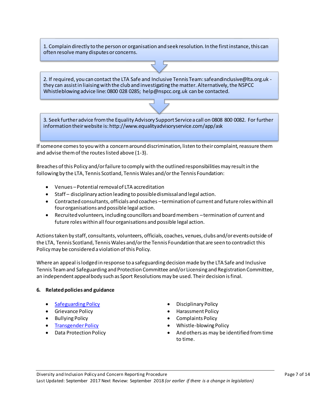1. Complain directly to the person or organisation and seek resolution. In the first instance, this can often resolve many disputes or concerns.

2. If required, you can contact the LTA Safe and Inclusive Tennis Team: safeandinclusive@lta.org.uk they can assist in liaising with the club and investigating the matter. Alternatively, the NSPCC Whistleblowing advice line: 0800 028 0285; help@nspcc.org.uk can be contacted.

3. Seek further advice from the Equality Advisory Support Service a call on 0808 800 0082. For further information their website is: http://www.equalityadvisoryservice.com/app/ask

If someone comes to you with a concern around discrimination, listen to their complaint, reassure them and advise them of the routes listed above (1-3).

Breaches of this Policy and/or failure to comply with the outlined responsibilities may result in the following by the LTA, Tennis Scotland, Tennis Wales and/or the Tennis Foundation:

- Venues –Potential removal of LTA accreditation
- Staff disciplinary action leading to possible dismissal and legal action.
- Contracted consultants, officials and coaches –termination of current and future roles within all four organisations and possible legal action.
- Recruited volunteers, including councillors and board members –termination of current and future roles within all four organisations and possible legal action.

Actions taken by staff, consultants, volunteers, officials, coaches, venues, clubs and/or events outside of the LTA, Tennis Scotland, Tennis Wales and/or the Tennis Foundation that are seen to contradict this Policy may be considered a violation of this Policy.

Where an appeal is lodged in response to a safeguarding decision made by the LTA Safe and Inclusive Tennis Team and Safeguarding and Protection Committee and/or Licensing and Registration Committee, an independent appeal body such as Sport Resolutions may be used. Their decision is final.

#### **6. Related policies and guidance**

- [Safeguarding Policy](https://www.lta.org.uk/globalassets/about-lta/safeguarding/british-tennis-safeguarding-policy.pdf) **Disciplinary Policy**
- 
- 
- 
- 
- 
- Grievance Policy **Example 2018** Harassment Policy
- Bullying Policy **Complaints Policy**
- [Transgender Policy](https://www.lta.org.uk/about-the-lta/policies-and-rules/transgender-policy/) **Whistle-blowing Policy**
- Data Protection Policy **And others** as may be identified from time to time.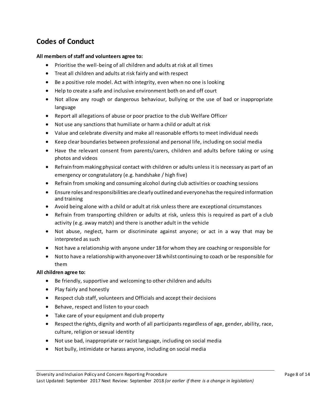# **Codes of Conduct**

## **All members of staff and volunteers agree to:**

- Prioritise the well-being of all children and adults at risk at all times
- Treat all children and adults at risk fairly and with respect
- Be a positive role model. Act with integrity, even when no one is looking
- Help to create a safe and inclusive environment both on and off court
- Not allow any rough or dangerous behaviour, bullying or the use of bad or inappropriate language
- Report all allegations of abuse or poor practice to the club Welfare Officer
- Not use any sanctions that humiliate or harm a child or adult at risk
- Value and celebrate diversity and make all reasonable efforts to meet individual needs
- Keep clear boundaries between professional and personal life, including on social media
- Have the relevant consent from parents/carers, children and adults before taking or using photos and videos
- Refrain from making physical contact with children or adults unless it is necessary as part of an emergency or congratulatory (e.g. handshake / high five)
- Refrain from smoking and consuming alcohol during club activities or coaching sessions
- Ensure roles and responsibilities are clearly outlined and everyone has the required information and training
- Avoid being alone with a child or adult at risk unless there are exceptional circumstances
- Refrain from transporting children or adults at risk, unless this is required as part of a club activity (e.g. away match) and there is another adult in the vehicle
- Not abuse, neglect, harm or discriminate against anyone; or act in a way that may be interpreted as such
- Not have a relationship with anyone under 18 for whom they are coaching or responsible for
- Not to have a relationship with anyone over 18 whilst continuing to coach or be responsible for them

#### **All children agree to:**

- Be friendly, supportive and welcoming to other children and adults
- Play fairly and honestly
- Respect club staff, volunteers and Officials and accept their decisions
- Behave, respect and listen to your coach
- Take care of your equipment and club property
- Respect the rights, dignity and worth of all participants regardless of age, gender, ability, race, culture, religion or sexual identity
- Not use bad, inappropriate or racist language, including on social media
- Not bully, intimidate or harass anyone, including on social media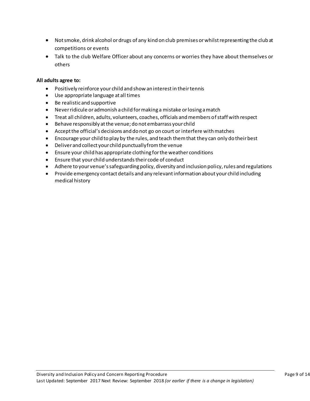- Not smoke, drink alcohol or drugs of any kind on club premises or whilst representing the club at competitions or events
- Talk to the club Welfare Officer about any concerns or worries they have about themselves or others

## **All adults agree to:**

- Positively reinforce your child and show an interest in their tennis
- Use appropriate language at all times
- Be realistic and supportive
- Never ridicule or admonish a child for making a mistake or losing a match
- Treat all children, adults, volunteers, coaches, officials and members of staff with respect
- Behave responsibly at the venue; do not embarrass your child
- Accept the official's decisions and do not go on court or interfere with matches
- Encourage your child to play by the rules, and teach them that they can only do their best
- Deliver and collect your child punctually from the venue
- Ensure your child has appropriate clothing for the weather conditions
- Ensure that your child understands their code of conduct
- Adhere to your venue's safeguarding policy, diversity and inclusion policy, rules and regulations
- Provide emergency contact details and any relevant information about your child including medical history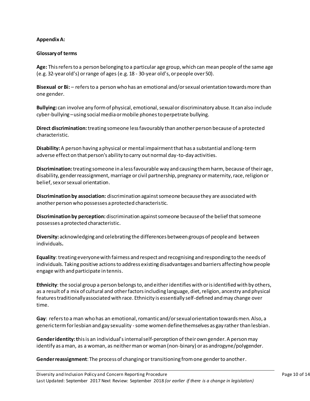#### **Appendix A:**

#### **Glossary of terms**

**Age:** This refers to a person belonging to a particular age group, which can mean people of the same age (e.g. 32-yearold's) or range of ages (e.g. 18 - 30-year old's, or people over 50).

**Bisexual or Bi:** – refers to a person who has an emotional and/or sexual orientation towards more than one gender.

**Bullying:** can involve any form of physical, emotional, sexual or discriminatory abuse. It can also include cyber-bullying –using social media or mobile phones to perpetrate bullying.

**Direct discrimination:**treating someone less favourably than another person because of a protected characteristic.

**Disability:**A person having a physical or mental impairment that has a substantial and long-term adverse effect on that person's ability to carry out normal day-to-day activities.

**Discrimination:**treating someone in a less favourable way and causing them harm, because of their age, disability, gender reassignment, marriage or civil partnership, pregnancy or maternity, race, religion or belief, sex or sexual orientation.

**Discrimination by association:** discrimination against someone because they are associated with another person who possesses a protected characteristic.

**Discrimination by perception:** discrimination against someone because of the belief that someone possesses a protected characteristic.

**Diversity:** acknowledging and celebrating the differences between groups of people and between individuals**.**

**Equality**: treating everyone with fairness and respect and recognising and responding to the needs of individuals. Taking positive actions to address existing disadvantages and barriers affecting how people engage with and participate in tennis.

**Ethnicity**: the social group a person belongs to, and either identifies with or is identified with by others, as a result of a mix of cultural and other factors including language, diet, religion, ancestry and physical features traditionally associated with race. Ethnicity is essentially self-defined and may change over time.

**Gay**: refers to a man who has an emotional, romantic and/or sexual orientation towards men. Also, a generic term for lesbian and gay sexuality -some women define themselves as gay rather than lesbian.

**Gender identity: t**his is an individual's internal self-perception of their own gender. A person may identify as a man, as a woman, as neither man or woman (non-binary) or as androgyne/polygender.

**Gender reassignment**: The process of changing or transitioning from one gender to another.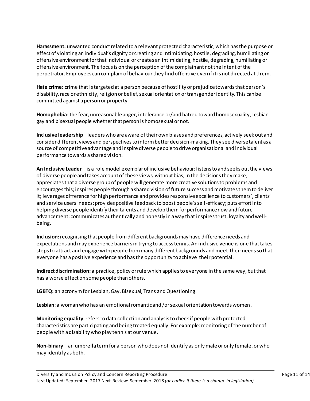**Harassment:** unwanted conduct related to a relevant protected characteristic, which has the purpose or effect of violating an individual's dignity or creating and intimidating, hostile, degrading, humiliating or offensive environment for that individual or creates an intimidating, hostile, degrading, humiliating or offensive environment. The focus is on the perception of the complainant not the intent of the perpetrator. Employees can complain of behaviour they find offensive even if it is not directed at them.

**Hate crime:** crime that is targeted at a person because of hostility or prejudice towards that person's disability, race or ethnicity, religion or belief, sexual orientation or transgender identity. This can be committed against a person or property.

**Homophobia**: the fear, unreasonable anger, intolerance or/and hatred toward homosexuality, lesbian gay and bisexual people whether that person is homosexual or not.

**Inclusive leadership** –leaders who are aware of their own biases and preferences, actively seek out and consider different views and perspectives to inform better decision-making. They see diverse talent as a source of competitive advantage and inspire diverse people to drive organisational and individual performance towards a shared vision.

**An Inclusive Leader** – is a role model exemplar of inclusive behaviour; listens to and seeks out the views of diverse people and takes account of these views, without bias, in the decisions they make; appreciates that a diverse group of people will generate more creative solutions to problems and encourages this; inspires people through a shared vision of future success and motivates them to deliver it; leverages difference for high performance and provides responsive excellence to customers', clients' and service users' needs; provides positive feedback to boost people's self-efficacy; puts effort into helping diverse people identify their talents and develop them for performance now and future advancement; communicates authentically and honestly in a way that inspires trust, loyalty and wellbeing.

**Inclusion:**recognising that people from different backgrounds may have difference needs and expectations and may experience barriers in trying to access tennis. An inclusive venue is one that takes steps to attract and engage with people from many different backgrounds and meet their needs so that everyone has a positive experience and has the opportunity to achieve their potential.

**Indirect discrimination:** a practice, policy or rule which applies to everyone in the same way, but that has a worse effect on some people than others.

**LGBTQ:** an acronym for Lesbian, Gay, Bisexual, Trans and Questioning.

**Lesbian**: a woman who has an emotional romantic and /or sexual orientation towards women.

**Monitoring equality**: refers to data collection and analysis to check if people with protected characteristics are participating and being treated equally. For example: monitoring of the number of people with a disability who play tennis at our venue.

**Non-binary** – an umbrella term for a person who does not identify as only male or only female, or who may identify as both.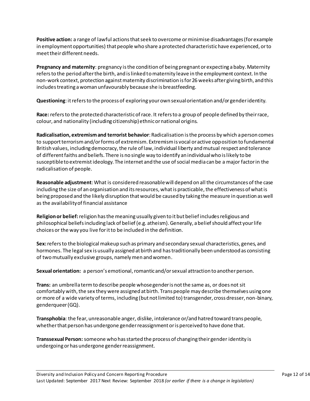**Positive action:** a range of lawful actions that seek to overcome or minimise disadvantages (for example in employment opportunities) that people who share a protected characteristic have experienced, or to meet their different needs.

**Pregnancy and maternity**: pregnancy is the condition of being pregnant or expecting a baby. Maternity refers to the period after the birth, and is linked to maternity leave in the employment context. In the non-work context, protection against maternity discrimination is for 26 weeks after giving birth, and this includes treating a woman unfavourably because she is breastfeeding.

**Questioning**: it refers to the process of exploring your own sexual orientation and/or gender identity.

**Race:** refers to the protected characteristic of race. It refers to a group of people defined by their race, colour, and nationality (including citizenship) ethnic or national origins.

**Radicalisation, extremism and terrorist behavior**: Radicalisation is the process by which a person comes to support terrorism and/or forms of extremism. Extremism is vocal or active opposition to fundamental British values, including democracy, the rule of law, individual liberty and mutual respect and tolerance of different faiths and beliefs. There is no single way to identify an individual who is likely to be susceptible to extremist ideology. The internet and the use of social media can be a major factor in the radicalisation of people.

**Reasonable adjustment**: What is considered reasonable will depend on all the circumstances of the case including the size of an organisation and its resources, what is practicable, the effectiveness of what is being proposed and the likely disruption that would be caused by taking the measure in question as well as the availability of financial assistance

**Religion or belief:**religion has the meaning usually given to it but belief includes religious and philosophical beliefs including lack of belief (e.g. atheism). Generally, a belief should affect your life choices or the way you live for it to be included in the definition.

**Sex:**refers to the biological makeup such as primary and secondary sexual characteristics, genes, and hormones. The legal sex is usually assigned at birth and has traditionally been understood as consisting of two mutually exclusive groups, namely men and women.

**Sexual orientation:** a person's emotional, romantic and/or sexual attraction to another person.

**Trans:** an umbrella term to describe people whose gender is not the same as, or does not sit comfortably with, the sex they were assigned at birth. Trans people may describe themselves using one or more of a wide variety of terms, including (but not limited to) transgender, cross dresser, non-binary, genderqueer (GQ).

**Transphobia**: the fear, unreasonable anger, dislike, intolerance or/and hatred toward trans people, whether that person has undergone gender reassignment or is perceived to have done that.

**Transsexual Person:**someone who has started the process of changing their gender identity is undergoing or has undergone gender reassignment.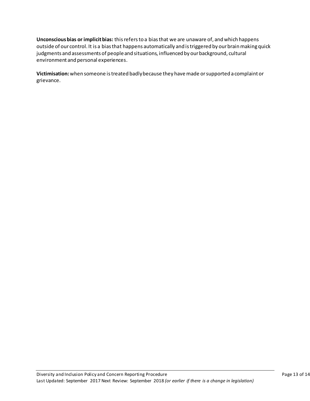**Unconscious bias or implicit bias:** this refers to a bias that we are unaware of, and which happens outside of our control. It is a bias that happens automatically and is triggered by our brain making quick judgments and assessments of people and situations, influenced by our background, cultural environment and personal experiences.

**Victimisation:**when someone is treated badly because they have made or supported a complaint or grievance.